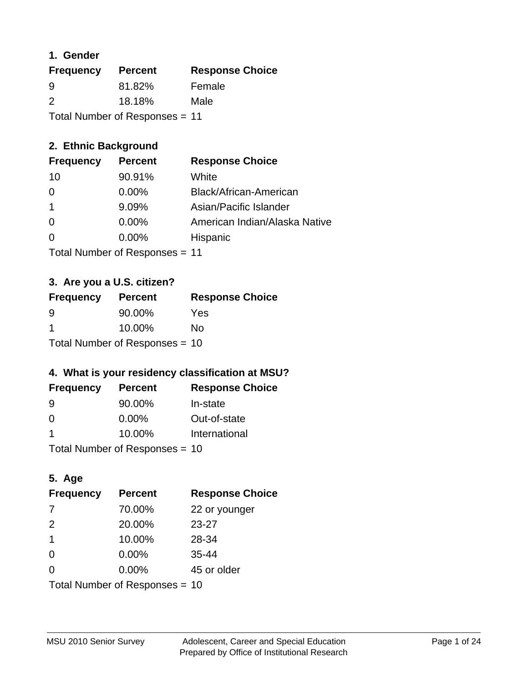## **1. Gender**

| <b>Frequency</b>               | <b>Percent</b> | <b>Response Choice</b> |
|--------------------------------|----------------|------------------------|
| 9                              | 81.82%         | Female                 |
| $\mathcal{P}$                  | 18.18%         | Male                   |
| Total Number of Responses = 11 |                |                        |

## **2. Ethnic Background**

| <b>Frequency</b> | <b>Percent</b> | <b>Response Choice</b>        |
|------------------|----------------|-------------------------------|
| 10               | 90.91%         | White                         |
| 0                | $0.00\%$       | Black/African-American        |
|                  | 9.09%          | Asian/Pacific Islander        |
| 0                | 0.00%          | American Indian/Alaska Native |
|                  | 0.00%          | Hispanic                      |
|                  |                |                               |

Total Number of Responses = 11

### **3. Are you a U.S. citizen?**

| <b>Frequency</b>               | <b>Percent</b> | <b>Response Choice</b> |
|--------------------------------|----------------|------------------------|
| -9                             | 90.00%         | Yes                    |
| -1                             | 10.00%         | Nο                     |
| Total Number of Responses = 10 |                |                        |

### **4. What is your residency classification at MSU?**

| <b>Frequency</b> | <b>Percent</b> | <b>Response Choice</b> |
|------------------|----------------|------------------------|
| -9               | 90.00%         | In-state               |
| $\Omega$         | $0.00\%$       | Out-of-state           |
| -1               | 10.00%         | International          |
|                  |                |                        |

Total Number of Responses = 10

## **5. Age**

| <b>Frequency</b>               | <b>Percent</b> | <b>Response Choice</b> |
|--------------------------------|----------------|------------------------|
| 7                              | 70.00%         | 22 or younger          |
| 2                              | 20.00%         | 23-27                  |
| -1                             | 10.00%         | 28-34                  |
| $\Omega$                       | 0.00%          | 35-44                  |
| $\Omega$                       | 0.00%          | 45 or older            |
| Total Number of Responses = 10 |                |                        |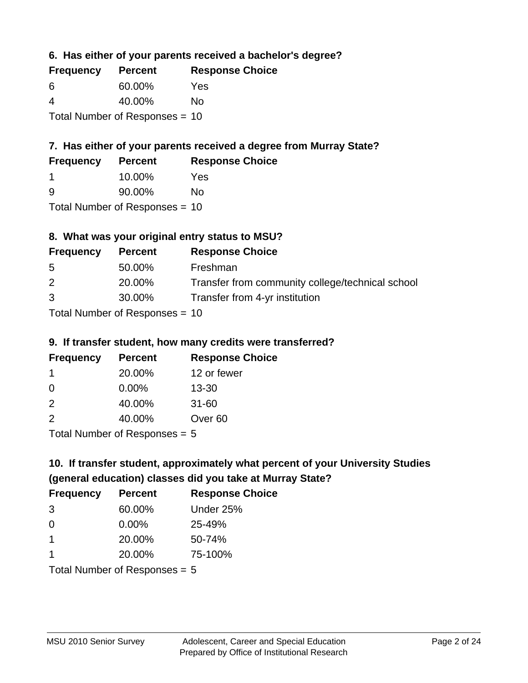**6. Has either of your parents received a bachelor's degree?**

| <b>Frequency</b> | <b>Percent</b>                   | <b>Response Choice</b> |
|------------------|----------------------------------|------------------------|
| 6                | 60.00%                           | Yes                    |
| 4                | 40.00%                           | Nο                     |
|                  | Total Number of Responses $= 10$ |                        |

## **7. Has either of your parents received a degree from Murray State?**

| <b>Frequency</b> | <b>Percent</b> | <b>Response Choice</b> |
|------------------|----------------|------------------------|
|                  | 10.00%         | Yes                    |
| ്റ               | 90.00%         | No                     |

Total Number of Responses = 10

## **8. What was your original entry status to MSU?**

| <b>Frequency</b>             | <b>Percent</b> | <b>Response Choice</b>                           |
|------------------------------|----------------|--------------------------------------------------|
| 5                            | 50.00%         | Freshman                                         |
| 2                            | 20.00%         | Transfer from community college/technical school |
| 3                            | 30.00%         | Transfer from 4-yr institution                   |
| Total Number of Deepensee 10 |                |                                                  |

Total Number of Responses = 10

### **9. If transfer student, how many credits were transferred?**

| <b>Frequency</b>           | <b>Percent</b> | <b>Response Choice</b> |
|----------------------------|----------------|------------------------|
|                            | 20.00%         | 12 or fewer            |
| -0                         | 0.00%          | $13 - 30$              |
| $\mathcal{P}$              | 40.00%         | $31 - 60$              |
| $\mathcal{P}$              | 40.00%         | Over <sub>60</sub>     |
| Tatal Number of Desperance |                |                        |

Total Number of Responses = 5

# **10. If transfer student, approximately what percent of your University Studies (general education) classes did you take at Murray State?**

| <b>Frequency</b>                | <b>Percent</b> | <b>Response Choice</b> |
|---------------------------------|----------------|------------------------|
| -3                              | 60.00%         | Under 25%              |
| $\Omega$                        | $0.00\%$       | 25-49%                 |
| 1                               | 20.00%         | 50-74%                 |
| 1                               | 20.00%         | 75-100%                |
| Total Number of Responses $= 5$ |                |                        |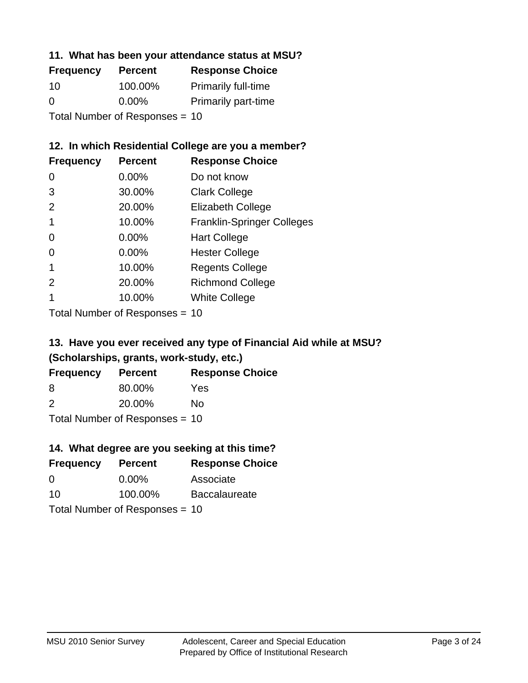### **11. What has been your attendance status at MSU?**

| <b>Frequency</b>               | <b>Percent</b> | <b>Response Choice</b>     |
|--------------------------------|----------------|----------------------------|
| 10                             | 100.00%        | <b>Primarily full-time</b> |
| $\Omega$                       | $0.00\%$       | <b>Primarily part-time</b> |
| Total Number of Responses = 10 |                |                            |

## **12. In which Residential College are you a member?**

| <b>Frequency</b> | <b>Percent</b> | <b>Response Choice</b>            |
|------------------|----------------|-----------------------------------|
| O                | $0.00\%$       | Do not know                       |
| 3                | 30.00%         | <b>Clark College</b>              |
| $\mathcal{P}$    | 20.00%         | <b>Elizabeth College</b>          |
|                  | 10.00%         | <b>Franklin-Springer Colleges</b> |
| 0                | $0.00\%$       | <b>Hart College</b>               |
| 0                | 0.00%          | <b>Hester College</b>             |
|                  | 10.00%         | <b>Regents College</b>            |
| $\mathcal{P}$    | 20.00%         | <b>Richmond College</b>           |
|                  | 10.00%         | <b>White College</b>              |
|                  |                |                                   |

Total Number of Responses = 10

## **13. Have you ever received any type of Financial Aid while at MSU? (Scholarships, grants, work-study, etc.)**

| <b>Frequency</b>                 | <b>Percent</b> | <b>Response Choice</b> |
|----------------------------------|----------------|------------------------|
| 8                                | 80.00%         | Yes                    |
| $\mathcal{P}$                    | 20.00%         | Nο                     |
| Total Number of Responses $= 10$ |                |                        |

**14. What degree are you seeking at this time?**

| <b>Frequency</b> | <b>Percent</b>                 | <b>Response Choice</b> |
|------------------|--------------------------------|------------------------|
| $\Omega$         | $0.00\%$                       | Associate              |
| 10               | 100.00%                        | <b>Baccalaureate</b>   |
|                  | Total Number of Responses = 10 |                        |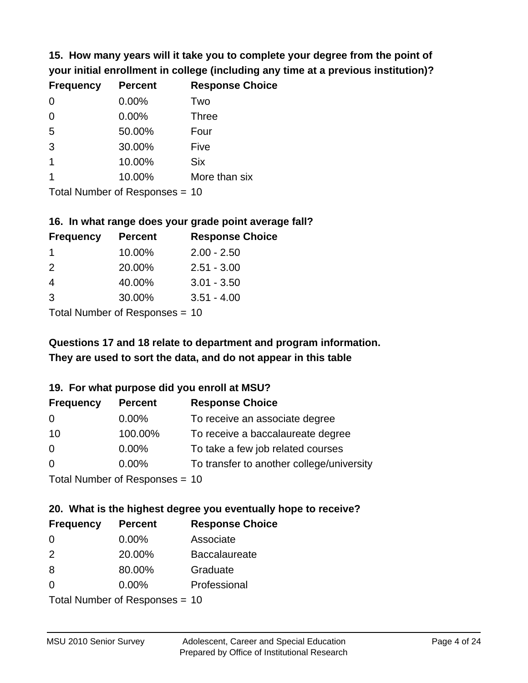**15. How many years will it take you to complete your degree from the point of your initial enrollment in college (including any time at a previous institution)?**

| <b>Frequency</b> | <b>Percent</b> | <b>Response Choice</b> |
|------------------|----------------|------------------------|
| 0                | 0.00%          | Two                    |
| $\overline{0}$   | 0.00%          | <b>Three</b>           |
| 5                | 50.00%         | Four                   |
| 3                | 30.00%         | Five                   |
| $\overline{1}$   | 10.00%         | <b>Six</b>             |
|                  | 10.00%         | More than six          |
|                  |                |                        |

Total Number of Responses = 10

#### **16. In what range does your grade point average fall?**

| <b>Frequency</b> | <b>Percent</b> | <b>Response Choice</b> |
|------------------|----------------|------------------------|
|                  | 10.00%         | $2.00 - 2.50$          |
| $\mathcal{P}$    | 20.00%         | $2.51 - 3.00$          |
| 4                | 40.00%         | $3.01 - 3.50$          |
| 3                | 30.00%         | $3.51 - 4.00$          |
|                  |                |                        |

Total Number of Responses = 10

## **They are used to sort the data, and do not appear in this table Questions 17 and 18 relate to department and program information.**

### **19. For what purpose did you enroll at MSU?**

| <b>Frequency</b> | <b>Percent</b>                  | <b>Response Choice</b>                    |
|------------------|---------------------------------|-------------------------------------------|
| 0                | $0.00\%$                        | To receive an associate degree            |
| 10               | 100.00%                         | To receive a baccalaureate degree         |
| 0                | $0.00\%$                        | To take a few job related courses         |
| $\Omega$         | $0.00\%$                        | To transfer to another college/university |
|                  | Total Number of Reconnect $-10$ |                                           |

Total Number of Responses = 10

# **20. What is the highest degree you eventually hope to receive?**

| <b>Frequency</b> | <b>Percent</b>             | <b>Response Choice</b> |
|------------------|----------------------------|------------------------|
| 0                | $0.00\%$                   | Associate              |
| 2                | 20.00%                     | <b>Baccalaureate</b>   |
| 8                | 80.00%                     | Graduate               |
| 0                | 0.00%                      | Professional           |
|                  | Tatal Number of Desperance |                        |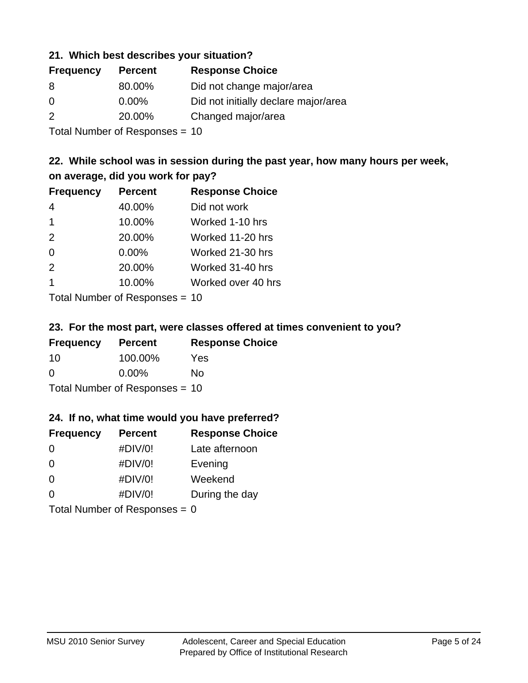### **21. Which best describes your situation?**

| <b>Frequency</b> | <b>Percent</b> | <b>Response Choice</b>               |
|------------------|----------------|--------------------------------------|
| 8                | 80.00%         | Did not change major/area            |
| $\Omega$         | $0.00\%$       | Did not initially declare major/area |
| $\mathcal{P}$    | 20.00%         | Changed major/area                   |
|                  |                |                                      |

Total Number of Responses = 10

## **22. While school was in session during the past year, how many hours per week, on average, did you work for pay?**

| <b>Frequency</b>        | <b>Percent</b> | <b>Response Choice</b> |
|-------------------------|----------------|------------------------|
| 4                       | 40.00%         | Did not work           |
| $\mathbf 1$             | 10.00%         | Worked 1-10 hrs        |
| 2                       | 20.00%         | Worked 11-20 hrs       |
| $\Omega$                | 0.00%          | Worked 21-30 hrs       |
| 2                       | 20.00%         | Worked 31-40 hrs       |
| $\overline{\mathbf{1}}$ | 10.00%         | Worked over 40 hrs     |
|                         |                |                        |

Total Number of Responses = 10

### **23. For the most part, were classes offered at times convenient to you?**

| <b>Frequency</b>                 | <b>Percent</b> | <b>Response Choice</b> |
|----------------------------------|----------------|------------------------|
| 10                               | 100.00%        | Yes                    |
| $\Omega$                         | $0.00\%$       | No.                    |
| Total Number of Responses $= 10$ |                |                        |

### **24. If no, what time would you have preferred?**

| <b>Frequency</b>                | <b>Percent</b> | <b>Response Choice</b> |
|---------------------------------|----------------|------------------------|
| 0                               | #DIV/0!        | Late afternoon         |
| $\Omega$                        | #DIV/0!        | Evening                |
| 0                               | #DIV/0!        | Weekend                |
| $\Omega$                        | #DIV/0!        | During the day         |
| Total Number of Responses = $0$ |                |                        |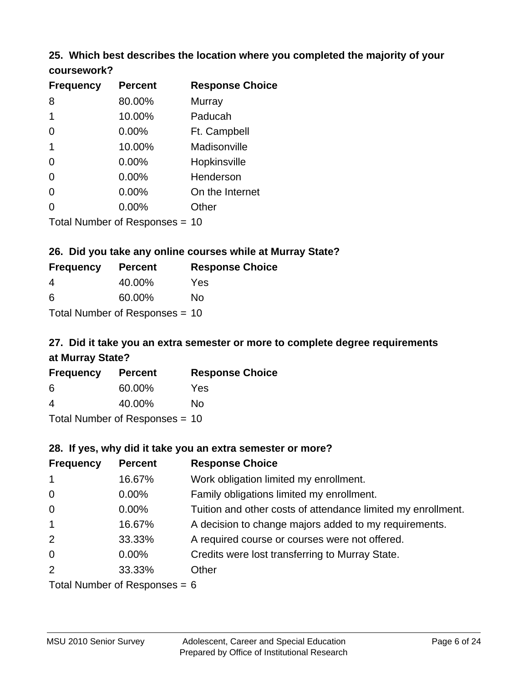### **25. Which best describes the location where you completed the majority of your coursework?**

| <b>Frequency</b> | <b>Percent</b>                  | <b>Response Choice</b> |
|------------------|---------------------------------|------------------------|
| 8                | 80.00%                          | Murray                 |
| 1                | 10.00%                          | Paducah                |
| 0                | 0.00%                           | Ft. Campbell           |
| $\mathbf 1$      | 10.00%                          | Madisonville           |
| 0                | 0.00%                           | Hopkinsville           |
| $\overline{0}$   | 0.00%                           | Henderson              |
| 0                | 0.00%                           | On the Internet        |
| 0                | 0.00%                           | Other                  |
|                  | Total Number of Poenonces $-10$ |                        |

Total Number of Responses = 10

### **26. Did you take any online courses while at Murray State?**

| <b>Frequency</b> | <b>Percent</b>                 | <b>Response Choice</b> |
|------------------|--------------------------------|------------------------|
| 4                | 40.00%                         | Yes                    |
| -6               | 60.00%                         | Nο                     |
|                  | Total Number of Responses = 10 |                        |

## **27. Did it take you an extra semester or more to complete degree requirements at Murray State?**

| <b>Frequency</b>               | <b>Percent</b> | <b>Response Choice</b> |  |
|--------------------------------|----------------|------------------------|--|
| 6                              | 60.00%         | Yes                    |  |
| 4                              | 40.00%         | Nο                     |  |
| Total Number of Responses = 10 |                |                        |  |

**28. If yes, why did it take you an extra semester or more?**

| <b>Frequency</b> | <b>Percent</b>                     | <b>Response Choice</b>                                       |
|------------------|------------------------------------|--------------------------------------------------------------|
| $\mathbf{1}$     | 16.67%                             | Work obligation limited my enrollment.                       |
| $\mathbf 0$      | $0.00\%$                           | Family obligations limited my enrollment.                    |
| $\mathbf 0$      | $0.00\%$                           | Tuition and other costs of attendance limited my enrollment. |
| $\overline{1}$   | 16.67%                             | A decision to change majors added to my requirements.        |
| 2                | 33.33%                             | A required course or courses were not offered.               |
| $\overline{0}$   | $0.00\%$                           | Credits were lost transferring to Murray State.              |
| 2                | 33.33%                             | Other                                                        |
|                  | $Total Number of Doonono0 = \beta$ |                                                              |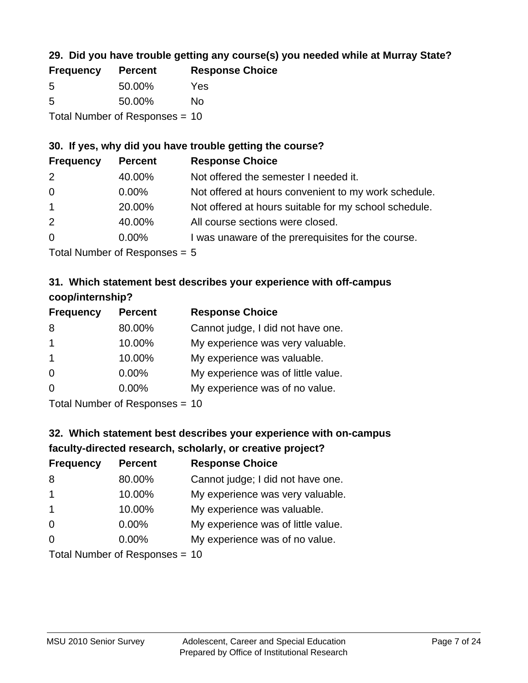## **29. Did you have trouble getting any course(s) you needed while at Murray State?**

| <b>Frequency</b>               | <b>Percent</b> | <b>Response Choice</b> |  |
|--------------------------------|----------------|------------------------|--|
| -5                             | 50.00%         | Yes                    |  |
| -5                             | 50.00%         | Nο                     |  |
| Total Number of Responses = 10 |                |                        |  |

## **30. If yes, why did you have trouble getting the course?**

| <b>Frequency</b> | <b>Percent</b> | <b>Response Choice</b>                                |
|------------------|----------------|-------------------------------------------------------|
| 2                | 40.00%         | Not offered the semester I needed it.                 |
| $\overline{0}$   | $0.00\%$       | Not offered at hours convenient to my work schedule.  |
| $\overline{1}$   | 20.00%         | Not offered at hours suitable for my school schedule. |
| 2                | 40.00%         | All course sections were closed.                      |
| $\overline{0}$   | $0.00\%$       | I was unaware of the prerequisites for the course.    |
|                  |                |                                                       |

Total Number of Responses = 5

## **31. Which statement best describes your experience with off-campus coop/internship?**

| <b>Frequency</b> | <b>Percent</b> | <b>Response Choice</b>             |
|------------------|----------------|------------------------------------|
| 8                | 80.00%         | Cannot judge, I did not have one.  |
| $\mathbf 1$      | 10.00%         | My experience was very valuable.   |
| $\overline{1}$   | 10.00%         | My experience was valuable.        |
| $\Omega$         | 0.00%          | My experience was of little value. |
| $\Omega$         | 0.00%          | My experience was of no value.     |
|                  |                |                                    |

Total Number of Responses = 10

# **32. Which statement best describes your experience with on-campus faculty-directed research, scholarly, or creative project?**

| <b>Frequency</b> | <b>Percent</b>            | <b>Response Choice</b>             |
|------------------|---------------------------|------------------------------------|
| 8                | 80.00%                    | Cannot judge; I did not have one.  |
| $\mathbf 1$      | 10.00%                    | My experience was very valuable.   |
| $\overline{1}$   | 10.00%                    | My experience was valuable.        |
| $\Omega$         | $0.00\%$                  | My experience was of little value. |
| $\Omega$         | $0.00\%$                  | My experience was of no value.     |
|                  | Total Number of Deepensee |                                    |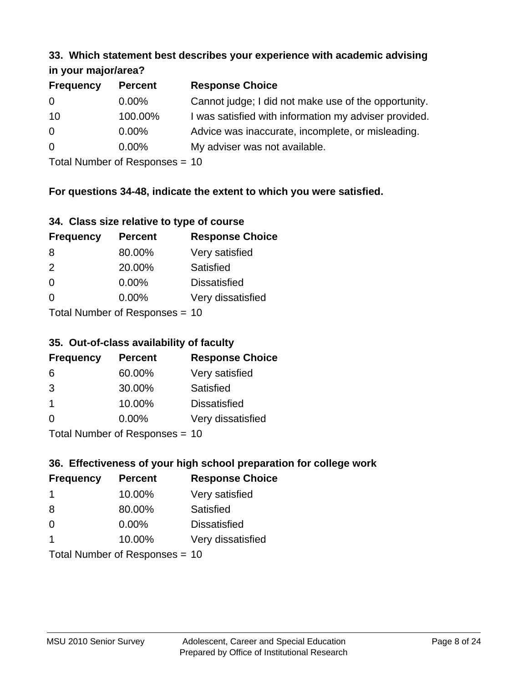#### **33. Which statement best describes your experience with academic advising in your major/area?**

| $\mathbf{u}$ yvu $\mathbf{u}$ yvu $\mathbf{v}$ |                |                                                       |
|------------------------------------------------|----------------|-------------------------------------------------------|
| <b>Frequency</b>                               | <b>Percent</b> | <b>Response Choice</b>                                |
| 0                                              | $0.00\%$       | Cannot judge; I did not make use of the opportunity.  |
| 10                                             | 100.00%        | I was satisfied with information my adviser provided. |
| $\overline{0}$                                 | 0.00%          | Advice was inaccurate, incomplete, or misleading.     |
| $\overline{0}$                                 | 0.00%          | My adviser was not available.                         |
|                                                |                |                                                       |

Total Number of Responses = 10

## **For questions 34-48, indicate the extent to which you were satisfied.**

| 34. Class size relative to type of course |
|-------------------------------------------|
|-------------------------------------------|

| <b>Frequency</b>               | <b>Percent</b> | <b>Response Choice</b> |  |
|--------------------------------|----------------|------------------------|--|
| 8                              | 80.00%         | Very satisfied         |  |
| $\mathcal{P}$                  | 20.00%         | Satisfied              |  |
| $\Omega$                       | 0.00%          | <b>Dissatisfied</b>    |  |
| $\Omega$                       | $0.00\%$       | Very dissatisfied      |  |
| Total Number of Reconnege - 10 |                |                        |  |

Total Number of Responses = 10

### **35. Out-of-class availability of faculty**

| <b>Frequency</b> | <b>Percent</b>            | <b>Response Choice</b> |
|------------------|---------------------------|------------------------|
| 6                | 60.00%                    | Very satisfied         |
| 3                | 30.00%                    | Satisfied              |
| $\mathbf 1$      | 10.00%                    | <b>Dissatisfied</b>    |
| $\Omega$         | $0.00\%$                  | Very dissatisfied      |
|                  | Total Number of Deepensee |                        |

Total Number of Responses = 10

## **36. Effectiveness of your high school preparation for college work**

| <b>Frequency</b> | <b>Percent</b>                 | <b>Response Choice</b> |
|------------------|--------------------------------|------------------------|
| -1               | 10.00%                         | Very satisfied         |
| 8                | 80.00%                         | Satisfied              |
| $\Omega$         | $0.00\%$                       | <b>Dissatisfied</b>    |
| -1               | 10.00%                         | Very dissatisfied      |
|                  | Total Number of Responses = 10 |                        |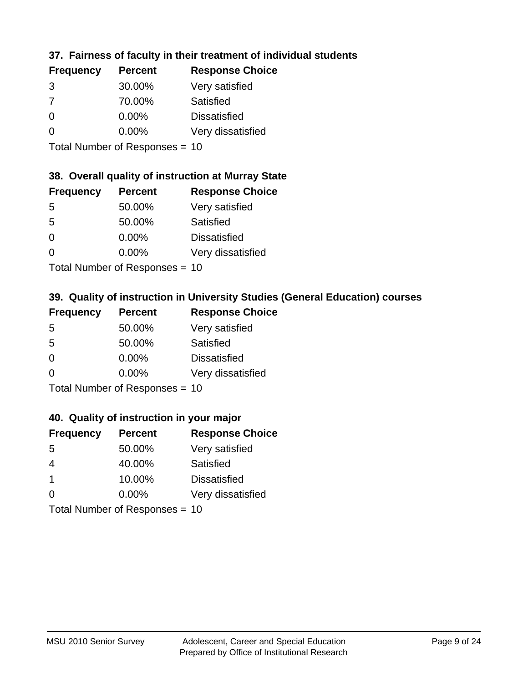## **37. Fairness of faculty in their treatment of individual students**

| <b>Frequency</b> | <b>Percent</b> | <b>Response Choice</b> |
|------------------|----------------|------------------------|
| 3                | 30.00%         | Very satisfied         |
| 7                | 70.00%         | Satisfied              |
| $\Omega$         | $0.00\%$       | <b>Dissatisfied</b>    |
| $\Omega$         | 0.00%          | Very dissatisfied      |
|                  |                |                        |

Total Number of Responses = 10

#### **38. Overall quality of instruction at Murray State**

| <b>Frequency</b> | <b>Percent</b>                                                                                                 | <b>Response Choice</b> |
|------------------|----------------------------------------------------------------------------------------------------------------|------------------------|
| 5                | 50.00%                                                                                                         | Very satisfied         |
| 5                | 50.00%                                                                                                         | Satisfied              |
| $\Omega$         | 0.00%                                                                                                          | <b>Dissatisfied</b>    |
| $\Omega$         | 0.00%                                                                                                          | Very dissatisfied      |
|                  | The INDIAN Contract Contract in the Contract of Contract of Contract of Contract of Contract of Contract of Co |                        |

Total Number of Responses = 10

## **39. Quality of instruction in University Studies (General Education) courses**

| <b>Frequency</b>          | <b>Percent</b> | <b>Response Choice</b> |
|---------------------------|----------------|------------------------|
| 5                         | 50.00%         | Very satisfied         |
| 5                         | 50.00%         | Satisfied              |
| $\Omega$                  | 0.00%          | <b>Dissatisfied</b>    |
| $\Omega$                  | 0.00%          | Very dissatisfied      |
| Total Number of Desponses |                |                        |

Total Number of Responses = 10

### **40. Quality of instruction in your major**

| <b>Frequency</b> | <b>Percent</b>             | <b>Response Choice</b> |
|------------------|----------------------------|------------------------|
| .5               | 50.00%                     | Very satisfied         |
| 4                | 40.00%                     | Satisfied              |
| $\mathbf 1$      | 10.00%                     | <b>Dissatisfied</b>    |
| $\Omega$         | $0.00\%$                   | Very dissatisfied      |
|                  | Tatal Number of Desperance |                        |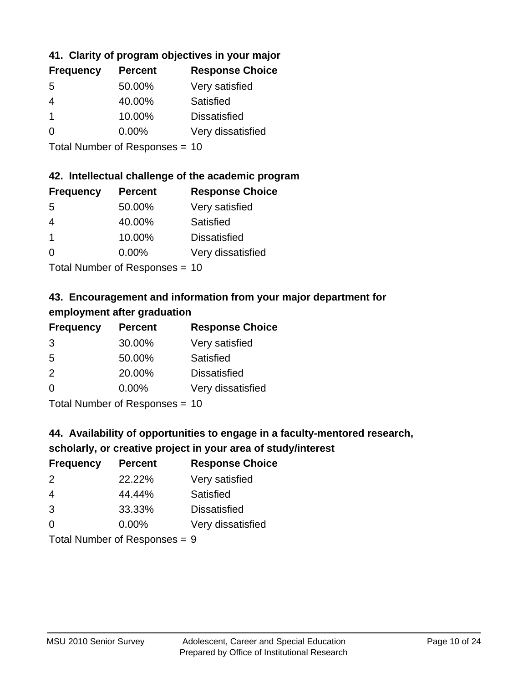## **41. Clarity of program objectives in your major**

| <b>Frequency</b> | <b>Percent</b> | <b>Response Choice</b> |
|------------------|----------------|------------------------|
| .5               | 50.00%         | Very satisfied         |
| 4                | 40.00%         | Satisfied              |
|                  | 10.00%         | <b>Dissatisfied</b>    |
| O                | $0.00\%$       | Very dissatisfied      |
|                  |                |                        |

Total Number of Responses = 10

### **42. Intellectual challenge of the academic program**

| <b>Frequency</b> | <b>Percent</b> | <b>Response Choice</b> |
|------------------|----------------|------------------------|
| .5               | 50.00%         | Very satisfied         |
| 4                | 40.00%         | Satisfied              |
|                  | 10.00%         | <b>Dissatisfied</b>    |
| $\Omega$         | 0.00%          | Very dissatisfied      |
|                  |                |                        |

Total Number of Responses = 10

## **43. Encouragement and information from your major department for employment after graduation**

| <b>Frequency</b> | <b>Percent</b>             | <b>Response Choice</b> |
|------------------|----------------------------|------------------------|
| 3                | 30.00%                     | Very satisfied         |
| 5                | 50.00%                     | Satisfied              |
| 2                | 20.00%                     | <b>Dissatisfied</b>    |
| $\Omega$         | 0.00%                      | Very dissatisfied      |
|                  | Total Number of Desperance |                        |

Total Number of Responses = 10

## **44. Availability of opportunities to engage in a faculty-mentored research,**

### **scholarly, or creative project in your area of study/interest**

| <b>Frequency</b> | <b>Percent</b> | <b>Response Choice</b> |
|------------------|----------------|------------------------|
| 2                | 22.22%         | Very satisfied         |
| 4                | 44.44%         | Satisfied              |
| 3                | 33.33%         | <b>Dissatisfied</b>    |
| $\Omega$         | 0.00%          | Very dissatisfied      |
|                  |                |                        |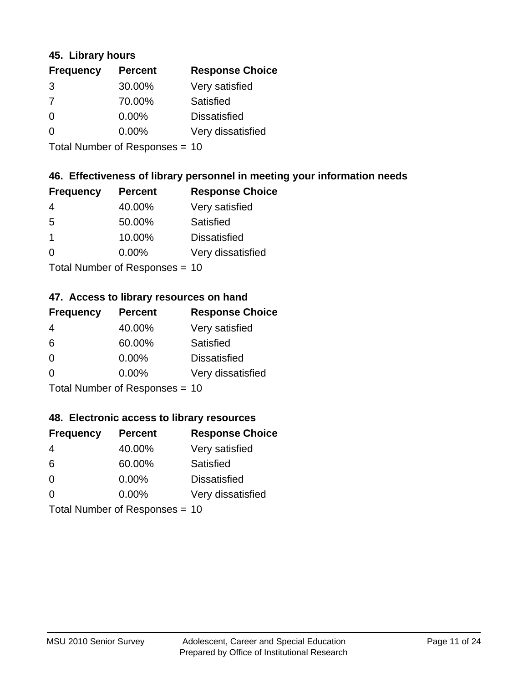### **45. Library hours**

| <b>Frequency</b> | <b>Percent</b> | <b>Response Choice</b> |
|------------------|----------------|------------------------|
| 3                | 30.00%         | Very satisfied         |
| 7                | 70.00%         | Satisfied              |
| $\Omega$         | 0.00%          | <b>Dissatisfied</b>    |
| $\Omega$         | 0.00%          | Very dissatisfied      |
|                  |                |                        |

Total Number of Responses = 10

### **46. Effectiveness of library personnel in meeting your information needs**

| <b>Frequency</b> | <b>Percent</b> | <b>Response Choice</b> |
|------------------|----------------|------------------------|
| 4                | 40.00%         | Very satisfied         |
| .5               | 50.00%         | Satisfied              |
|                  | 10.00%         | <b>Dissatisfied</b>    |
| $\Omega$         | 0.00%          | Very dissatisfied      |
|                  |                |                        |

Total Number of Responses = 10

### **47. Access to library resources on hand**

| <b>Frequency</b> | <b>Percent</b>                 | <b>Response Choice</b> |
|------------------|--------------------------------|------------------------|
| 4                | 40.00%                         | Very satisfied         |
| 6                | 60.00%                         | Satisfied              |
| $\Omega$         | $0.00\%$                       | <b>Dissatisfied</b>    |
| $\Omega$         | $0.00\%$                       | Very dissatisfied      |
|                  | $Total Number of Doepopogog -$ |                        |

Total Number of Responses = 10

### **48. Electronic access to library resources**

| <b>Frequency</b> | <b>Percent</b>                 | <b>Response Choice</b> |
|------------------|--------------------------------|------------------------|
| 4                | 40.00%                         | Very satisfied         |
| 6                | 60.00%                         | Satisfied              |
| $\Omega$         | $0.00\%$                       | <b>Dissatisfied</b>    |
| $\Omega$         | $0.00\%$                       | Very dissatisfied      |
|                  | Total Number of Responses = 10 |                        |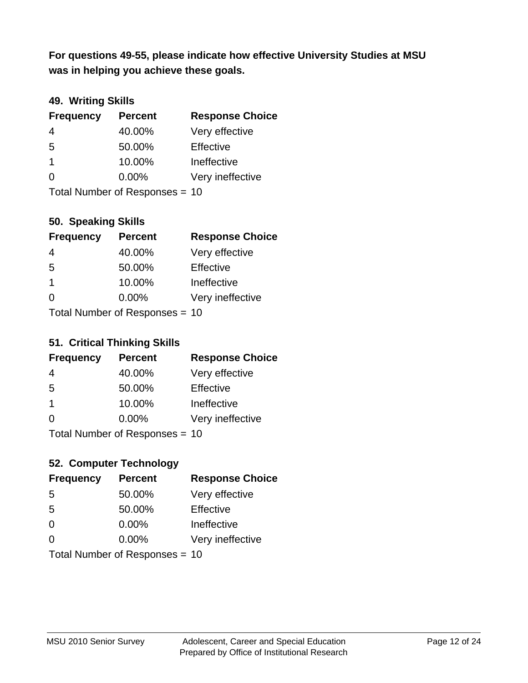**was in helping you achieve these goals. For questions 49-55, please indicate how effective University Studies at MSU** 

## **49. Writing Skills**

| <b>Frequency</b> | <b>Percent</b>                 | <b>Response Choice</b> |
|------------------|--------------------------------|------------------------|
| $\overline{4}$   | 40.00%                         | Very effective         |
| 5                | 50.00%                         | Effective              |
| $\overline{1}$   | 10.00%                         | Ineffective            |
| $\Omega$         | $0.00\%$                       | Very ineffective       |
|                  | Total Number of Responses = 10 |                        |

**50. Speaking Skills**

| <b>Frequency</b>               | <b>Percent</b> | <b>Response Choice</b> |
|--------------------------------|----------------|------------------------|
| 4                              | 40.00%         | Very effective         |
| 5                              | 50.00%         | Effective              |
| $\overline{1}$                 | 10.00%         | Ineffective            |
| $\Omega$                       | 0.00%          | Very ineffective       |
| Total Number of Poenonces - 10 |                |                        |

Total Number of Responses = 10

### **51. Critical Thinking Skills**

| <b>Frequency</b>          | <b>Percent</b> | <b>Response Choice</b> |
|---------------------------|----------------|------------------------|
| 4                         | 40.00%         | Very effective         |
| -5                        | 50.00%         | Effective              |
| $\mathbf 1$               | 10.00%         | Ineffective            |
| $\Omega$                  | 0.00%          | Very ineffective       |
| Total Number of DoEROR 0. |                |                        |

Total Number of Responses = 10

## **52. Computer Technology**

| <b>Frequency</b>               | <b>Percent</b> | <b>Response Choice</b> |
|--------------------------------|----------------|------------------------|
| 5                              | 50.00%         | Very effective         |
| 5                              | 50.00%         | Effective              |
| $\Omega$                       | $0.00\%$       | Ineffective            |
| $\Omega$                       | 0.00%          | Very ineffective       |
| Total Number of Responses = 10 |                |                        |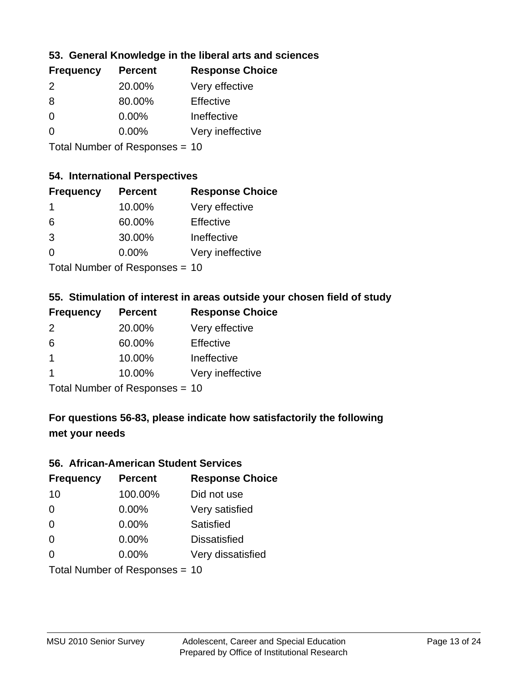## **53. General Knowledge in the liberal arts and sciences**

| <b>Frequency</b> | <b>Percent</b> | <b>Response Choice</b> |
|------------------|----------------|------------------------|
| $\mathcal{P}$    | 20.00%         | Very effective         |
| 8                | 80.00%         | Effective              |
| $\Omega$         | 0.00%          | Ineffective            |
| $\Omega$         | 0.00%          | Very ineffective       |
|                  |                |                        |

Total Number of Responses = 10

#### **54. International Perspectives**

| <b>Frequency</b> | <b>Percent</b>                         | <b>Response Choice</b> |
|------------------|----------------------------------------|------------------------|
| $\mathbf 1$      | 10.00%                                 | Very effective         |
| 6                | 60.00%                                 | Effective              |
| 3                | 30.00%                                 | Ineffective            |
| 0                | 0.00%                                  | Very ineffective       |
|                  | $\mathbf{r}$ . The set of $\mathbf{r}$ |                        |

Total Number of Responses = 10

### **55. Stimulation of interest in areas outside your chosen field of study**

| <b>Frequency</b> | <b>Percent</b>            | <b>Response Choice</b> |
|------------------|---------------------------|------------------------|
| 2                | 20.00%                    | Very effective         |
| 6                | 60.00%                    | Effective              |
| $\overline{1}$   | 10.00%                    | Ineffective            |
|                  | 10.00%                    | Very ineffective       |
|                  | Total Number of DoEROR 0. |                        |

Total Number of Responses = 10

## **For questions 56-83, please indicate how satisfactorily the following met your needs**

#### **56. African-American Student Services**

| <b>Frequency</b> | <b>Percent</b>                 | <b>Response Choice</b> |
|------------------|--------------------------------|------------------------|
| 10               | 100.00%                        | Did not use            |
| $\Omega$         | 0.00%                          | Very satisfied         |
| $\Omega$         | 0.00%                          | Satisfied              |
| $\Omega$         | $0.00\%$                       | <b>Dissatisfied</b>    |
| $\Omega$         | 0.00%                          | Very dissatisfied      |
|                  | Total Number of Responses = 10 |                        |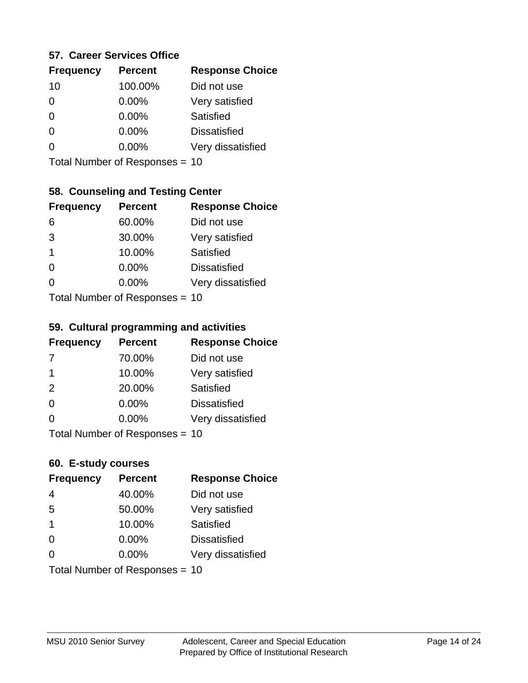### **57. Career Services Office**

| <b>Frequency</b> | <b>Percent</b> | <b>Response Choice</b> |
|------------------|----------------|------------------------|
| 10               | 100.00%        | Did not use            |
| 0                | 0.00%          | Very satisfied         |
| 0                | $0.00\%$       | Satisfied              |
| O                | 0.00%          | <b>Dissatisfied</b>    |
|                  | $0.00\%$       | Very dissatisfied      |
|                  |                |                        |

Total Number of Responses = 10

## **58. Counseling and Testing Center**

| <b>Frequency</b>          | <b>Percent</b> | <b>Response Choice</b> |
|---------------------------|----------------|------------------------|
| 6                         | 60.00%         | Did not use            |
| 3                         | 30.00%         | Very satisfied         |
| 1                         | 10.00%         | Satisfied              |
| ∩                         | 0.00%          | <b>Dissatisfied</b>    |
| 0                         | 0.00%          | Very dissatisfied      |
| Total Number of Desponses |                |                        |

Total Number of Responses = 10

#### **59. Cultural programming and activities**

| <b>Frequency</b> | <b>Percent</b>                 | <b>Response Choice</b> |
|------------------|--------------------------------|------------------------|
| 7                | 70.00%                         | Did not use            |
| -1               | 10.00%                         | Very satisfied         |
| 2                | 20.00%                         | Satisfied              |
| $\Omega$         | $0.00\%$                       | <b>Dissatisfied</b>    |
| $\Omega$         | $0.00\%$                       | Very dissatisfied      |
|                  | Total Number of Responses = 10 |                        |

### **60. E-study courses**

| <b>Frequency</b> | <b>Percent</b>                 | <b>Response Choice</b> |
|------------------|--------------------------------|------------------------|
| 4                | 40.00%                         | Did not use            |
| 5                | 50.00%                         | Very satisfied         |
| -1               | 10.00%                         | Satisfied              |
| $\Omega$         | 0.00%                          | <b>Dissatisfied</b>    |
| ∩                | $0.00\%$                       | Very dissatisfied      |
|                  | Total Number of Responses = 10 |                        |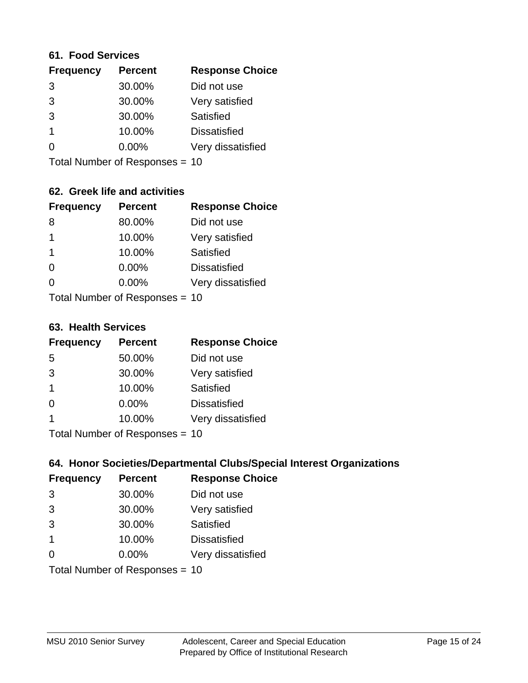#### **61. Food Services**

| <b>Frequency</b> | <b>Percent</b> | <b>Response Choice</b> |
|------------------|----------------|------------------------|
| 3                | 30.00%         | Did not use            |
| 3                | 30.00%         | Very satisfied         |
| 3                | 30.00%         | Satisfied              |
|                  | 10.00%         | <b>Dissatisfied</b>    |
| ∩                | 0.00%          | Very dissatisfied      |
|                  |                |                        |

Total Number of Responses = 10

## **62. Greek life and activities**

| <b>Frequency</b> | <b>Percent</b>                 | <b>Response Choice</b> |
|------------------|--------------------------------|------------------------|
| 8                | 80.00%                         | Did not use            |
| 1                | 10.00%                         | Very satisfied         |
| -1               | 10.00%                         | Satisfied              |
| $\Omega$         | $0.00\%$                       | <b>Dissatisfied</b>    |
| 0                | $0.00\%$                       | Very dissatisfied      |
|                  | Total Number of Responses = 10 |                        |

**63. Health Services**

| <b>Frequency</b> | <b>Percent</b>             | <b>Response Choice</b> |
|------------------|----------------------------|------------------------|
| 5                | 50.00%                     | Did not use            |
| 3                | 30.00%                     | Very satisfied         |
| $\overline{1}$   | 10.00%                     | <b>Satisfied</b>       |
| $\Omega$         | 0.00%                      | <b>Dissatisfied</b>    |
|                  | 10.00%                     | Very dissatisfied      |
|                  | Total Number of Deepersoon |                        |

Total Number of Responses = 10

## **64. Honor Societies/Departmental Clubs/Special Interest Organizations**

| <b>Frequency</b> | <b>Percent</b>                 | <b>Response Choice</b> |
|------------------|--------------------------------|------------------------|
| 3                | 30.00%                         | Did not use            |
| 3                | 30.00%                         | Very satisfied         |
| 3                | 30.00%                         | Satisfied              |
| -1               | 10.00%                         | <b>Dissatisfied</b>    |
| $\Omega$         | 0.00%                          | Very dissatisfied      |
|                  | Total Number of Responses = 10 |                        |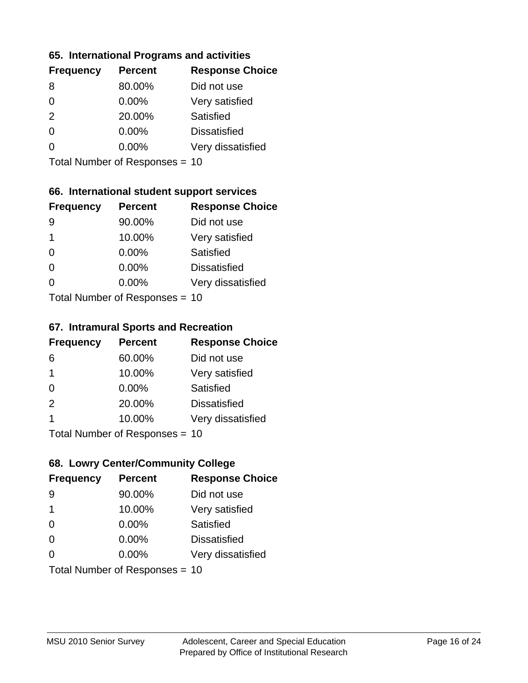### **65. International Programs and activities**

| <b>Frequency</b> | <b>Percent</b> | <b>Response Choice</b> |
|------------------|----------------|------------------------|
| 8                | 80.00%         | Did not use            |
| 0                | 0.00%          | Very satisfied         |
| 2                | 20.00%         | Satisfied              |
| O                | $0.00\%$       | <b>Dissatisfied</b>    |
|                  | $0.00\%$       | Very dissatisfied      |
|                  |                |                        |

Total Number of Responses = 10

## **66. International student support services**

| <b>Frequency</b> | <b>Percent</b>            | <b>Response Choice</b> |
|------------------|---------------------------|------------------------|
| 9                | 90.00%                    | Did not use            |
| 1                | 10.00%                    | Very satisfied         |
| $\Omega$         | $0.00\%$                  | Satisfied              |
| ∩                | 0.00%                     | <b>Dissatisfied</b>    |
| 0                | 0.00%                     | Very dissatisfied      |
|                  | Total Number of Desponses |                        |

Total Number of Responses = 10

#### **67. Intramural Sports and Recreation**

| <b>Frequency</b> | <b>Percent</b>                  | <b>Response Choice</b> |
|------------------|---------------------------------|------------------------|
| 6                | 60.00%                          | Did not use            |
| $\overline{1}$   | 10.00%                          | Very satisfied         |
| $\Omega$         | $0.00\%$                        | Satisfied              |
| 2                | 20.00%                          | <b>Dissatisfied</b>    |
| 1                | 10.00%                          | Very dissatisfied      |
|                  | $Total Number of Denonose = 10$ |                        |

Total Number of Responses = 10

## **68. Lowry Center/Community College**

| <b>Frequency</b> | <b>Percent</b>                 | <b>Response Choice</b> |
|------------------|--------------------------------|------------------------|
| 9                | 90.00%                         | Did not use            |
| -1               | 10.00%                         | Very satisfied         |
| $\Omega$         | 0.00%                          | Satisfied              |
| $\Omega$         | 0.00%                          | <b>Dissatisfied</b>    |
| ∩                | $0.00\%$                       | Very dissatisfied      |
|                  | Total Number of Responses = 10 |                        |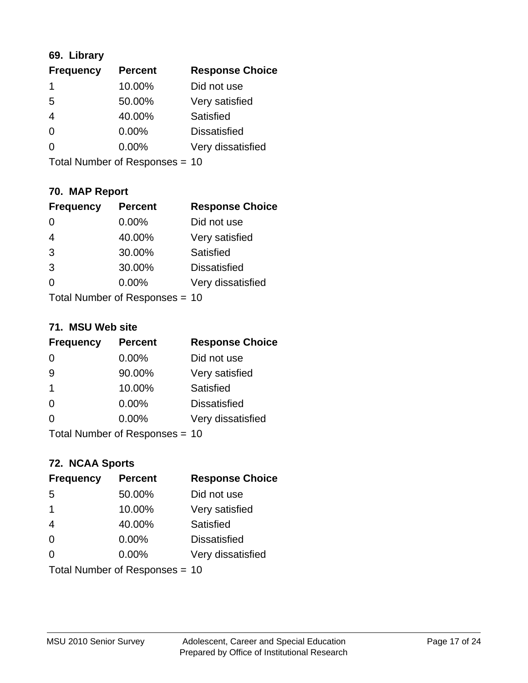## **69. Library**

| <b>Frequency</b> | <b>Percent</b> | <b>Response Choice</b> |
|------------------|----------------|------------------------|
|                  | 10.00%         | Did not use            |
| 5                | 50.00%         | Very satisfied         |
| 4                | 40.00%         | <b>Satisfied</b>       |
| 0                | 0.00%          | <b>Dissatisfied</b>    |
| O                | $0.00\%$       | Very dissatisfied      |
|                  |                |                        |

Total Number of Responses = 10

## **70. MAP Report**

| <b>Frequency</b> | <b>Percent</b>                 | <b>Response Choice</b> |
|------------------|--------------------------------|------------------------|
| 0                | 0.00%                          | Did not use            |
| $\overline{4}$   | 40.00%                         | Very satisfied         |
| 3                | 30.00%                         | Satisfied              |
| 3                | 30.00%                         | <b>Dissatisfied</b>    |
| 0                | $0.00\%$                       | Very dissatisfied      |
|                  | Total Number of Responses = 10 |                        |

#### **71. MSU Web site**

| <b>Frequency</b> | <b>Percent</b>                 | <b>Response Choice</b> |
|------------------|--------------------------------|------------------------|
| $\Omega$         | 0.00%                          | Did not use            |
| 9                | 90.00%                         | Very satisfied         |
| -1               | 10.00%                         | Satisfied              |
| $\Omega$         | 0.00%                          | <b>Dissatisfied</b>    |
| ∩                | 0.00%                          | Very dissatisfied      |
|                  | Total Number of Responses = 10 |                        |

# **72. NCAA Sports**

| <b>Frequency</b> | <b>Percent</b>                 | <b>Response Choice</b> |
|------------------|--------------------------------|------------------------|
| 5                | 50.00%                         | Did not use            |
| -1               | 10.00%                         | Very satisfied         |
| $\overline{4}$   | 40.00%                         | Satisfied              |
| $\Omega$         | $0.00\%$                       | <b>Dissatisfied</b>    |
| $\Omega$         | 0.00%                          | Very dissatisfied      |
|                  | Total Number of Responses = 10 |                        |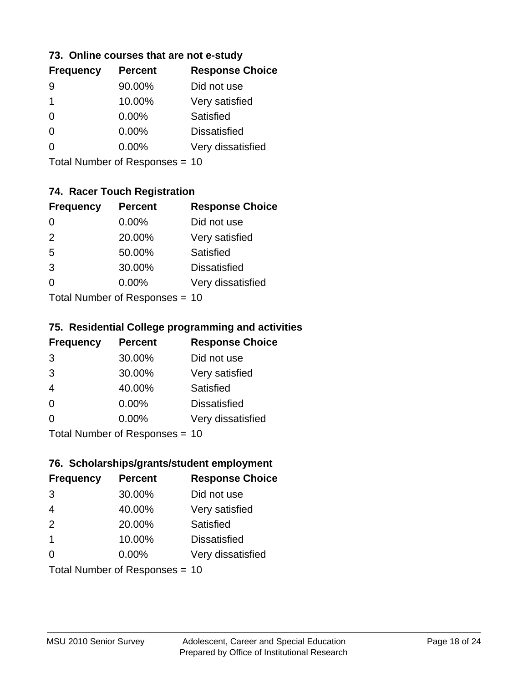### **73. Online courses that are not e-study**

Total Number of Responses = 10

## **74. Racer Touch Registration**

| <b>Frequency</b>          | <b>Percent</b> | <b>Response Choice</b> |
|---------------------------|----------------|------------------------|
| 0                         | 0.00%          | Did not use            |
| 2                         | 20.00%         | Very satisfied         |
| 5                         | 50.00%         | <b>Satisfied</b>       |
| 3                         | 30.00%         | <b>Dissatisfied</b>    |
| 0                         | $0.00\%$       | Very dissatisfied      |
| Total Number of DoEROR 0. |                |                        |

Total Number of Responses = 10

## **75. Residential College programming and activities**

| <b>Frequency</b>                | <b>Percent</b> | <b>Response Choice</b> |
|---------------------------------|----------------|------------------------|
| 3                               | 30.00%         | Did not use            |
| 3                               | 30.00%         | Very satisfied         |
| $\overline{4}$                  | 40.00%         | Satisfied              |
| $\Omega$                        | 0.00%          | <b>Dissatisfied</b>    |
| $\Omega$                        | 0.00%          | Very dissatisfied      |
| $Total$ Number of Despasses $-$ |                |                        |

Total Number of Responses = 10

### **76. Scholarships/grants/student employment**

| <b>Frequency</b>               | <b>Percent</b> | <b>Response Choice</b> |
|--------------------------------|----------------|------------------------|
| 3                              | 30.00%         | Did not use            |
| $\overline{4}$                 | 40.00%         | Very satisfied         |
| 2                              | 20.00%         | Satisfied              |
| $\mathbf 1$                    | 10.00%         | <b>Dissatisfied</b>    |
| $\Omega$                       | 0.00%          | Very dissatisfied      |
| Total Number of Responses = 10 |                |                        |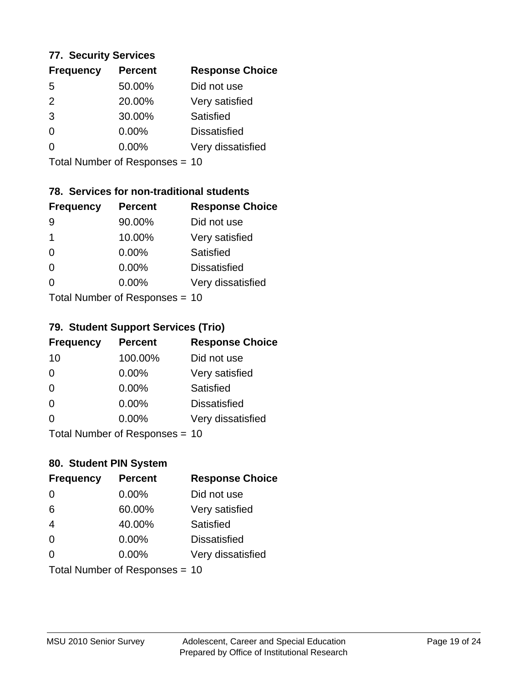### **77. Security Services**

| <b>Percent</b> | <b>Response Choice</b> |
|----------------|------------------------|
| 50.00%         | Did not use            |
| 20.00%         | Very satisfied         |
| 30.00%         | Satisfied              |
| 0.00%          | <b>Dissatisfied</b>    |
| $0.00\%$       | Very dissatisfied      |
|                |                        |

Total Number of Responses = 10

## **78. Services for non-traditional students**

| <b>Frequency</b>           | <b>Percent</b> | <b>Response Choice</b> |
|----------------------------|----------------|------------------------|
| 9                          | 90.00%         | Did not use            |
| 1                          | 10.00%         | Very satisfied         |
| $\Omega$                   | $0.00\%$       | Satisfied              |
| $\Omega$                   | 0.00%          | <b>Dissatisfied</b>    |
| 0                          | 0.00%          | Very dissatisfied      |
| Total Number of Deepersoon |                |                        |

Total Number of Responses = 10

### **79. Student Support Services (Trio)**

| <b>Frequency</b>                | <b>Percent</b> | <b>Response Choice</b> |
|---------------------------------|----------------|------------------------|
| 10                              | 100.00%        | Did not use            |
| $\Omega$                        | $0.00\%$       | Very satisfied         |
| $\Omega$                        | $0.00\%$       | Satisfied              |
| $\Omega$                        | 0.00%          | <b>Dissatisfied</b>    |
| $\Omega$                        | 0.00%          | Very dissatisfied      |
| $Total Number of Denonose = 10$ |                |                        |

Total Number of Responses = 10

### **80. Student PIN System**

| <b>Frequency</b>               | <b>Percent</b> | <b>Response Choice</b> |
|--------------------------------|----------------|------------------------|
| 0                              | 0.00%          | Did not use            |
| 6                              | 60.00%         | Very satisfied         |
| $\overline{4}$                 | 40.00%         | Satisfied              |
| $\Omega$                       | 0.00%          | <b>Dissatisfied</b>    |
| 0                              | $0.00\%$       | Very dissatisfied      |
| Total Number of Responses = 10 |                |                        |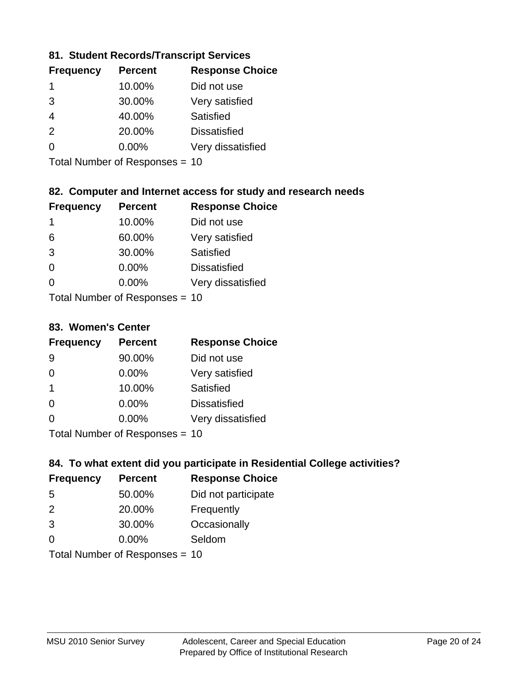## **81. Student Records/Transcript Services**

| <b>Percent</b> | <b>Response Choice</b> |
|----------------|------------------------|
| 10.00%         | Did not use            |
| 30.00%         | Very satisfied         |
| 40.00%         | Satisfied              |
| 20.00%         | <b>Dissatisfied</b>    |
| $0.00\%$       | Very dissatisfied      |
|                |                        |

Total Number of Responses = 10

## **82. Computer and Internet access for study and research needs**

| <b>Frequency</b>           | <b>Percent</b> | <b>Response Choice</b> |
|----------------------------|----------------|------------------------|
| 1                          | 10.00%         | Did not use            |
| 6                          | 60.00%         | Very satisfied         |
| 3                          | 30.00%         | Satisfied              |
| $\Omega$                   | 0.00%          | <b>Dissatisfied</b>    |
| ∩                          | 0.00%          | Very dissatisfied      |
| Tatal Number of Desperance |                |                        |

Total Number of Responses = 10

#### **83. Women's Center**

| <b>Frequency</b>          | <b>Percent</b> | <b>Response Choice</b> |
|---------------------------|----------------|------------------------|
| 9                         | 90.00%         | Did not use            |
| $\Omega$                  | 0.00%          | Very satisfied         |
| -1                        | 10.00%         | Satisfied              |
| $\Omega$                  | 0.00%          | <b>Dissatisfied</b>    |
| ∩                         | 0.00%          | Very dissatisfied      |
| Total Number of Deepersee |                |                        |

Total Number of Responses = 10

## **84. To what extent did you participate in Residential College activities?**

| <b>Frequency</b>               | <b>Percent</b> | <b>Response Choice</b> |
|--------------------------------|----------------|------------------------|
| -5                             | 50.00%         | Did not participate    |
| $\mathcal{P}$                  | 20.00%         | Frequently             |
| 3                              | 30.00%         | Occasionally           |
| ∩                              | 0.00%          | Seldom                 |
| Total Number of Responses = 10 |                |                        |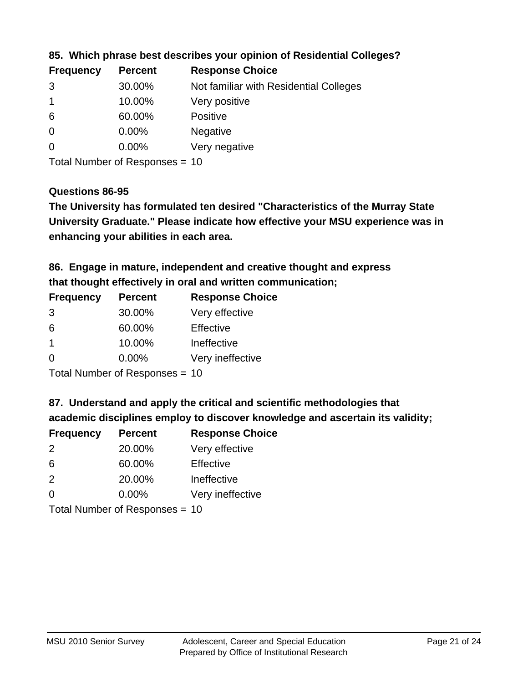| <b>Frequency</b> | <b>Percent</b> | <b>Response Choice</b>                 |
|------------------|----------------|----------------------------------------|
| 3                | 30.00%         | Not familiar with Residential Colleges |
|                  | 10.00%         | Very positive                          |
| -6               | 60.00%         | <b>Positive</b>                        |
| $\overline{0}$   | 0.00%          | <b>Negative</b>                        |
| -0               | $0.00\%$       | Very negative                          |
|                  |                |                                        |

**85. Which phrase best describes your opinion of Residential Colleges?**

Total Number of Responses = 10

### **Questions 86-95**

**University Graduate." Please indicate how effective your MSU experience was in The University has formulated ten desired "Characteristics of the Murray State enhancing your abilities in each area.**

**86. Engage in mature, independent and creative thought and express that thought effectively in oral and written communication;**

| <b>Percent</b> | <b>Response Choice</b> |
|----------------|------------------------|
| 30.00%         | Very effective         |
| 60.00%         | Effective              |
| 10.00%         | Ineffective            |
| $0.00\%$       | Very ineffective       |
|                |                        |

Total Number of Responses = 10

**87. Understand and apply the critical and scientific methodologies that** 

**academic disciplines employ to discover knowledge and ascertain its validity;**

| <b>Frequency</b> | <b>Percent</b> | <b>Response Choice</b> |
|------------------|----------------|------------------------|
| $\mathcal{P}$    | 20.00%         | Very effective         |
| 6                | 60.00%         | Effective              |
| 2                | 20.00%         | Ineffective            |
| $\Omega$         | 0.00%          | Very ineffective       |
|                  |                |                        |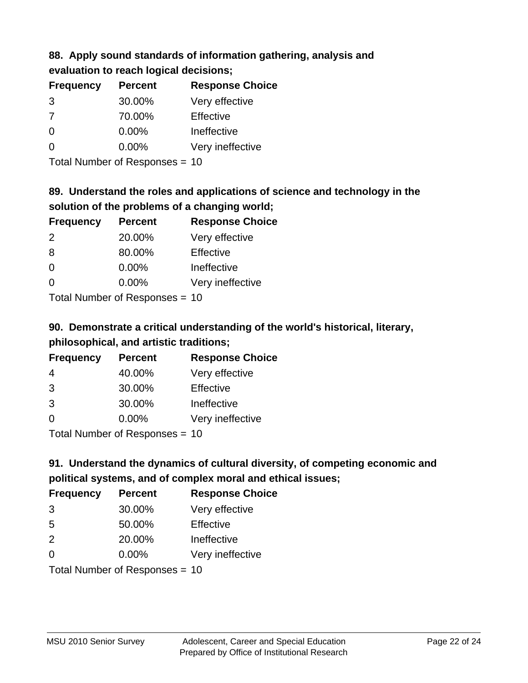#### **88. Apply sound standards of information gathering, analysis and evaluation to reach logical decisions;**

| Craigaton to reach logical accionolis, |                |                        |
|----------------------------------------|----------------|------------------------|
| <b>Frequency</b>                       | <b>Percent</b> | <b>Response Choice</b> |
| 3                                      | 30.00%         | Very effective         |
| 7                                      | 70.00%         | Effective              |
| 0                                      | 0.00%          | Ineffective            |
| 0                                      | 0.00%          | Very ineffective       |

Total Number of Responses = 10

# **89. Understand the roles and applications of science and technology in the solution of the problems of a changing world;**

| <b>Frequency</b> | <b>Percent</b> | <b>Response Choice</b> |
|------------------|----------------|------------------------|
| 2                | 20.00%         | Very effective         |
| 8                | 80.00%         | Effective              |
| $\Omega$         | 0.00%          | Ineffective            |
| $\Omega$         | 0.00%          | Very ineffective       |
|                  |                |                        |

Total Number of Responses = 10

# **90. Demonstrate a critical understanding of the world's historical, literary, philosophical, and artistic traditions;**

| <b>Frequency</b> | <b>Percent</b> | <b>Response Choice</b> |
|------------------|----------------|------------------------|
| 4                | 40.00%         | Very effective         |
| 3                | 30.00%         | Effective              |
| 3                | 30.00%         | Ineffective            |
| ∩                | 0.00%          | Very ineffective       |
|                  |                |                        |

Total Number of Responses = 10

# **91. Understand the dynamics of cultural diversity, of competing economic and political systems, and of complex moral and ethical issues;**

| <b>Frequency</b> | <b>Percent</b>                 | <b>Response Choice</b> |
|------------------|--------------------------------|------------------------|
| 3                | 30.00%                         | Very effective         |
| 5                | 50.00%                         | Effective              |
| $\mathcal{P}$    | 20.00%                         | Ineffective            |
| $\Omega$         | $0.00\%$                       | Very ineffective       |
|                  | Total Number of Responses = 10 |                        |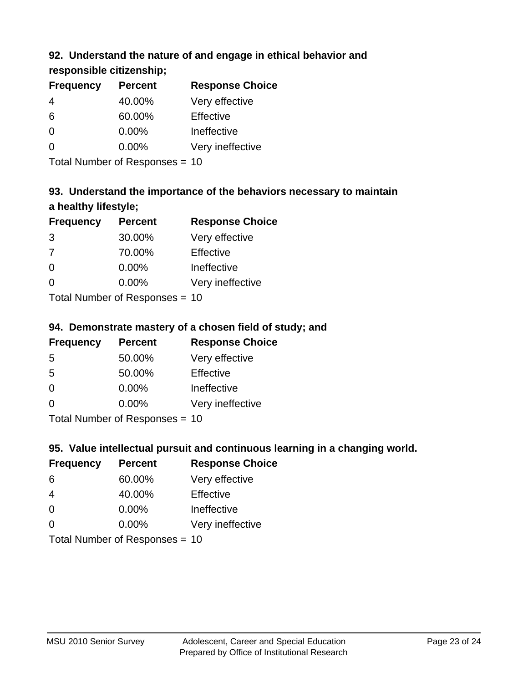## **92. Understand the nature of and engage in ethical behavior and**

## **responsible citizenship;**

| <b>Frequency</b> | <b>Percent</b> | <b>Response Choice</b> |
|------------------|----------------|------------------------|
|                  | 40.00%         | Very effective         |
| 6                | 60.00%         | Effective              |
| 0                | $0.00\%$       | Ineffective            |
| O                | $0.00\%$       | Very ineffective       |
|                  |                |                        |

Total Number of Responses = 10

# **93. Understand the importance of the behaviors necessary to maintain a healthy lifestyle;**

| <b>Frequency</b> | <b>Percent</b>                                                                                                 | <b>Response Choice</b> |
|------------------|----------------------------------------------------------------------------------------------------------------|------------------------|
| 3                | 30.00%                                                                                                         | Very effective         |
| 7                | 70.00%                                                                                                         | Effective              |
| $\Omega$         | 0.00%                                                                                                          | Ineffective            |
| $\Omega$         | 0.00%                                                                                                          | Very ineffective       |
|                  | The INDIAN Contract Contract in the Contract of Contract of Contract of Contract of Contract of Contract of Co |                        |

Total Number of Responses = 10

## **94. Demonstrate mastery of a chosen field of study; and**

| <b>Frequency</b> | <b>Percent</b> | <b>Response Choice</b> |
|------------------|----------------|------------------------|
| 5                | 50.00%         | Very effective         |
| 5                | 50.00%         | Effective              |
| $\Omega$         | 0.00%          | Ineffective            |
| $\Omega$         | 0.00%          | Very ineffective       |
|                  |                |                        |

Total Number of Responses = 10

## **95. Value intellectual pursuit and continuous learning in a changing world.**

| <b>Frequency</b> | <b>Percent</b>               | <b>Response Choice</b> |
|------------------|------------------------------|------------------------|
| 6                | 60.00%                       | Very effective         |
| 4                | 40.00%                       | Effective              |
| $\Omega$         | 0.00%                        | Ineffective            |
| $\Omega$         | 0.00%                        | Very ineffective       |
|                  | $Total Number of Denonone -$ |                        |